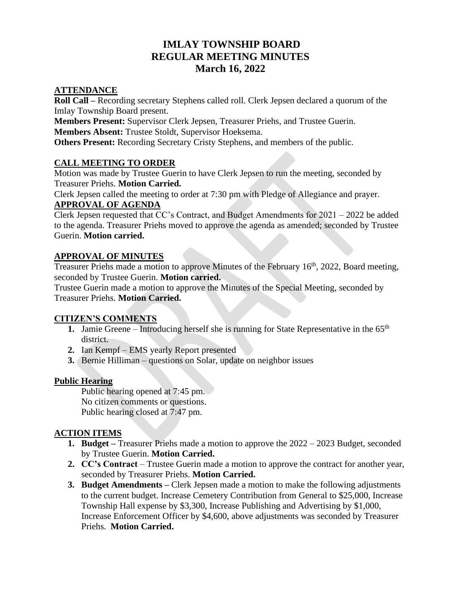# **IMLAY TOWNSHIP BOARD REGULAR MEETING MINUTES March 16, 2022**

#### **ATTENDANCE**

**Roll Call –** Recording secretary Stephens called roll. Clerk Jepsen declared a quorum of the Imlay Township Board present.

**Members Present:** Supervisor Clerk Jepsen, Treasurer Priehs, and Trustee Guerin. **Members Absent:** Trustee Stoldt, Supervisor Hoeksema.

**Others Present:** Recording Secretary Cristy Stephens, and members of the public.

#### **CALL MEETING TO ORDER**

Motion was made by Trustee Guerin to have Clerk Jepsen to run the meeting, seconded by Treasurer Priehs. **Motion Carried.**

Clerk Jepsen called the meeting to order at 7:30 pm with Pledge of Allegiance and prayer.

## **APPROVAL OF AGENDA**

Clerk Jepsen requested that CC's Contract, and Budget Amendments for 2021 – 2022 be added to the agenda. Treasurer Priehs moved to approve the agenda as amended; seconded by Trustee Guerin. **Motion carried.**

#### **APPROVAL OF MINUTES**

Treasurer Priehs made a motion to approve Minutes of the February 16<sup>th</sup>, 2022, Board meeting, seconded by Trustee Guerin. **Motion carried.**

Trustee Guerin made a motion to approve the Minutes of the Special Meeting, seconded by Treasurer Priehs. **Motion Carried.**

#### **CITIZEN'S COMMENTS**

- **1.** Jamie Greene Introducing herself she is running for State Representative in the  $65<sup>th</sup>$ district.
- **2.** Ian Kempf EMS yearly Report presented
- **3.** Bernie Hilliman questions on Solar, update on neighbor issues

#### **Public Hearing**

Public hearing opened at 7:45 pm. No citizen comments or questions. Public hearing closed at 7:47 pm.

#### **ACTION ITEMS**

- **1. Budget –** Treasurer Priehs made a motion to approve the 2022 2023 Budget, seconded by Trustee Guerin. **Motion Carried.**
- **2. CC's Contract**  Trustee Guerin made a motion to approve the contract for another year, seconded by Treasurer Priehs. **Motion Carried.**
- **3. Budget Amendments –** Clerk Jepsen made a motion to make the following adjustments to the current budget. Increase Cemetery Contribution from General to \$25,000, Increase Township Hall expense by \$3,300, Increase Publishing and Advertising by \$1,000, Increase Enforcement Officer by \$4,600, above adjustments was seconded by Treasurer Priehs. **Motion Carried.**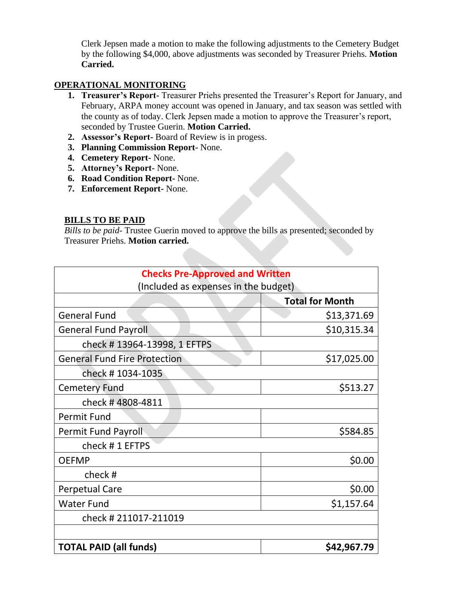Clerk Jepsen made a motion to make the following adjustments to the Cemetery Budget by the following \$4,000, above adjustments was seconded by Treasurer Priehs. **Motion Carried.**

### **OPERATIONAL MONITORING**

- **1. Treasurer's Report-** Treasurer Priehs presented the Treasurer's Report for January, and February, ARPA money account was opened in January, and tax season was settled with the county as of today. Clerk Jepsen made a motion to approve the Treasurer's report, seconded by Trustee Guerin. **Motion Carried.**
- **2. Assessor's Report-** Board of Review is in progess.
- **3. Planning Commission Report-** None.
- **4. Cemetery Report-** None.
- **5. Attorney's Report-** None.
- **6. Road Condition Report-** None.
- **7. Enforcement Report-** None.

# **BILLS TO BE PAID**

*Bills to be paid-* Trustee Guerin moved to approve the bills as presented; seconded by Treasurer Priehs. **Motion carried.**

| <b>Checks Pre-Approved and Written</b> |                        |
|----------------------------------------|------------------------|
| (Included as expenses in the budget)   |                        |
|                                        | <b>Total for Month</b> |
| <b>General Fund</b>                    | \$13,371.69            |
| <b>General Fund Payroll</b>            | \$10,315.34            |
| check #13964-13998, 1 EFTPS            |                        |
| <b>General Fund Fire Protection</b>    | \$17,025.00            |
| check # 1034-1035                      |                        |
| <b>Cemetery Fund</b>                   | \$513.27               |
| check #4808-4811                       |                        |
| <b>Permit Fund</b>                     |                        |
| Permit Fund Payroll                    | \$584.85               |
| check #1 EFTPS                         |                        |
| <b>OEFMP</b>                           | \$0.00                 |
| check#                                 |                        |
| <b>Perpetual Care</b>                  | \$0.00                 |
| <b>Water Fund</b>                      | \$1,157.64             |
| check # 211017-211019                  |                        |
|                                        |                        |
| <b>TOTAL PAID (all funds)</b>          | \$42,967.79            |